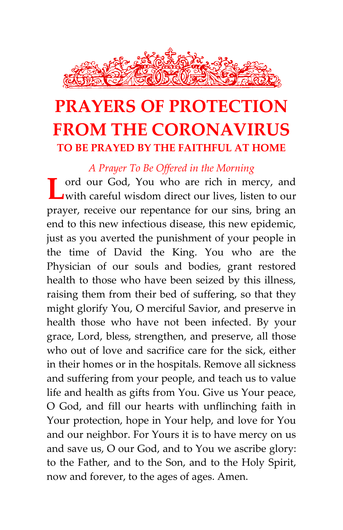

# **PRAYERS OF PROTECTION FROM THE CORONAVIRUS TO BE PRAYED BY THE FAITHFUL AT HOME**

*A Prayer To Be Offered in the Morning*

**L** ord our God, You who are rich in mercy, and with careful wisdom direct our lives, listen to our with careful wisdom direct our lives, listen to our prayer, receive our repentance for our sins, bring an end to this new infectious disease, this new epidemic, just as you averted the punishment of your people in the time of David the King. You who are the Physician of our souls and bodies, grant restored health to those who have been seized by this illness, raising them from their bed of suffering, so that they might glorify You, O merciful Savior, and preserve in health those who have not been infected. By your grace, Lord, bless, strengthen, and preserve, all those who out of love and sacrifice care for the sick, either in their homes or in the hospitals. Remove all sickness and suffering from your people, and teach us to value life and health as gifts from You. Give us Your peace, O God, and fill our hearts with unflinching faith in Your protection, hope in Your help, and love for You and our neighbor. For Yours it is to have mercy on us and save us, O our God, and to You we ascribe glory: to the Father, and to the Son, and to the Holy Spirit, now and forever, to the ages of ages. Amen.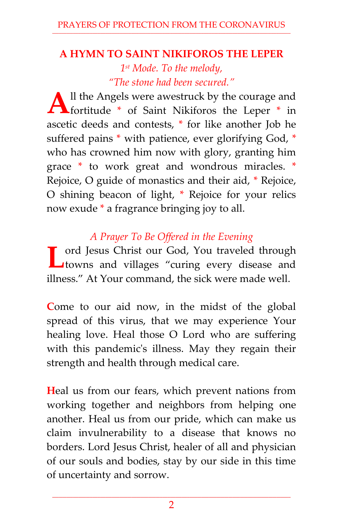## **A HYMN TO SAINT NIKIFOROS THE LEPER**

*1 st Mode. To the melody, "The stone had been secured."*

ll the Angels were awestruck by the courage and All the Angels were awestruck by the courage and fortitude \* of Saint Nikiforos the Leper \* in ascetic deeds and contests, \* for like another Job he suffered pains \* with patience, ever glorifying God, \* who has crowned him now with glory, granting him grace \* to work great and wondrous miracles. \* Rejoice, O guide of monastics and their aid, \* Rejoice, O shining beacon of light, \* Rejoice for your relics now exude \* a fragrance bringing joy to all.

## *A Prayer To Be Offered in the Evening*

ord Jesus Christ our God, You traveled through T ord Jesus Christ our God, You traveled through towns and villages "curing every disease and illness." At Your command, the sick were made well.

**C**ome to our aid now, in the midst of the global spread of this virus, that we may experience Your healing love. Heal those O Lord who are suffering with this pandemic's illness. May they regain their strength and health through medical care.

**H**eal us from our fears, which prevent nations from working together and neighbors from helping one another. Heal us from our pride, which can make us claim invulnerability to a disease that knows no borders. Lord Jesus Christ, healer of all and physician of our souls and bodies, stay by our side in this time of uncertainty and sorrow.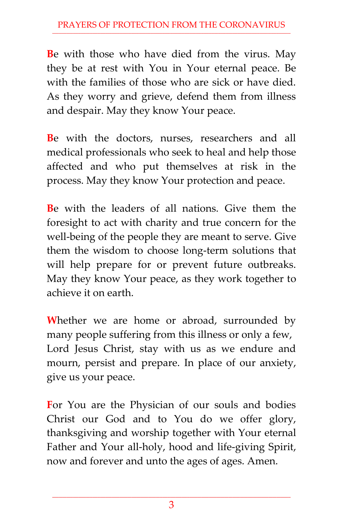**B**e with those who have died from the virus. May they be at rest with You in Your eternal peace. Be with the families of those who are sick or have died. As they worry and grieve, defend them from illness and despair. May they know Your peace.

**B**e with the doctors, nurses, researchers and all medical professionals who seek to heal and help those affected and who put themselves at risk in the process. May they know Your protection and peace.

**B**e with the leaders of all nations. Give them the foresight to act with charity and true concern for the well-being of the people they are meant to serve. Give them the wisdom to choose long-term solutions that will help prepare for or prevent future outbreaks. May they know Your peace, as they work together to achieve it on earth.

**W**hether we are home or abroad, surrounded by many people suffering from this illness or only a few, Lord Jesus Christ, stay with us as we endure and mourn, persist and prepare. In place of our anxiety, give us your peace.

**F**or You are the Physician of our souls and bodies Christ our God and to You do we offer glory, thanksgiving and worship together with Your eternal Father and Your all-holy, hood and life-giving Spirit, now and forever and unto the ages of ages. Amen.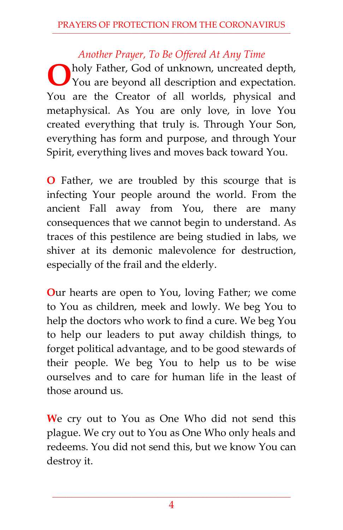### *Another Prayer, To Be Offered At Any Time*

holy Father, God of unknown, uncreated depth, You are beyond all description and expectation. You are the Creator of all worlds, physical and metaphysical. As You are only love, in love You created everything that truly is. Through Your Son, everything has form and purpose, and through Your Spirit, everything lives and moves back toward You. **O**

**O** Father, we are troubled by this scourge that is infecting Your people around the world. From the ancient Fall away from You, there are many consequences that we cannot begin to understand. As traces of this pestilence are being studied in labs, we shiver at its demonic malevolence for destruction, especially of the frail and the elderly.

**O**ur hearts are open to You, loving Father; we come to You as children, meek and lowly. We beg You to help the doctors who work to find a cure. We beg You to help our leaders to put away childish things, to forget political advantage, and to be good stewards of their people. We beg You to help us to be wise ourselves and to care for human life in the least of those around us.

**W**e cry out to You as One Who did not send this plague. We cry out to You as One Who only heals and redeems. You did not send this, but we know You can destroy it.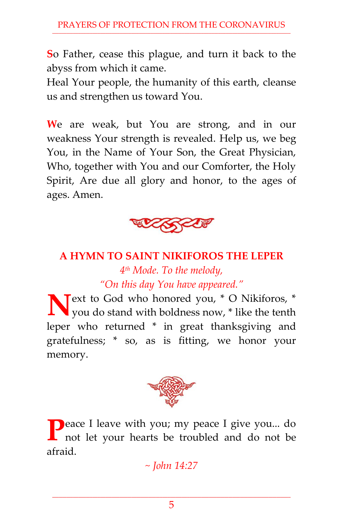**S**o Father, cease this plague, and turn it back to the abyss from which it came.

Heal Your people, the humanity of this earth, cleanse us and strengthen us toward You.

**W**e are weak, but You are strong, and in our weakness Your strength is revealed. Help us, we beg You, in the Name of Your Son, the Great Physician, Who, together with You and our Comforter, the Holy Spirit, Are due all glory and honor, to the ages of ages. Amen.



## **A HYMN TO SAINT NIKIFOROS THE LEPER** *4 th Mode. To the melody, "On this day You have appeared."*

**N** ext to God who honored you, \* O Nikiforos, \* you do stand with boldness now, \* like the tenth you do stand with boldness now, \* like the tenth leper who returned \* in great thanksgiving and gratefulness; \* so, as is fitting, we honor your memory.



**P**eace I leave with you; my peace I give you... do not let your hearts be troubled and do not be not let your hearts be troubled and do not be afraid.

*~ John 14:27*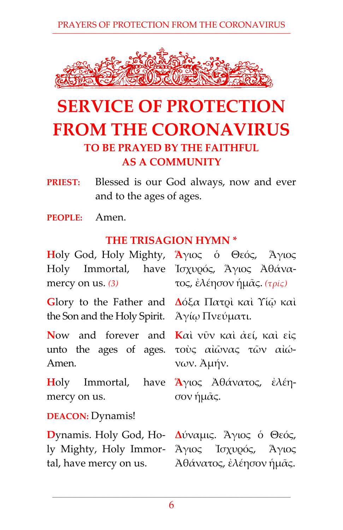PRAYERS OF PROTECTION FROM THE CORONAVIRUS



## **SERVICE OF PROTECTION FROM THE CORONAVIRUS TO BE PRAYED BY THE FAITHFUL AS A COMMUNITY**

**PRIEST:** Blessed is our God always, now and ever and to the ages of ages.

**PEOPLE:** Amen.

#### **THE TRISAGION HYMN \***

**H**oly God, Holy Mighty, **Ἅ**γιος ὁ Θεός, Ἅγιος Holy Immortal, have Ἰσχυρός, Ἅγιος Ἀθάναmercy on us. *(3)* τος, ἐλέησον ἡμᾶς. *(τρίς)*

**G**lory to the Father and the Son and the Holy Spirit.

**N**ow and forever and unto the ages of ages. Amen.

**H**oly Immortal, have mercy on us.

**DEACON:** Dynamis!

ly Mighty, Holy Immortal, have mercy on us.

**Δ**όξα Πατρὶ καὶ Υἱῷ καὶ Ἁγίῳ Πνεύματι.

**Κ**αὶ νῦν καὶ ἀεί, καὶ εἰς τοὺς αἰῶνας τῶν αἰώνων. Ἀμήν.

**Ἅ**γιος Ἀθάνατος, ἐλέησον ἡμᾶς.

**D**ynamis. Holy God, Ho-**Δ**ύναμις. Ἅγιος ὁ Θεός, Ἅγιος Ἰσχυρός, Ἅγιος Ἀθάνατος, ἐλέησον ἡμᾶς.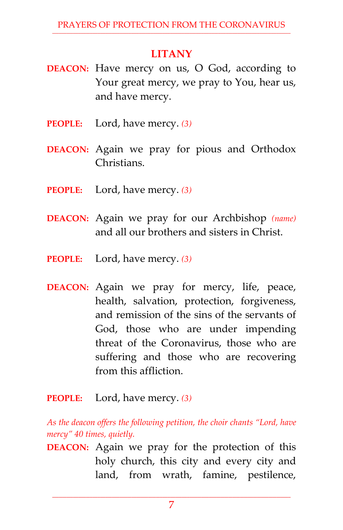## **LITANY**

- **DEACON:** Have mercy on us, O God, according to Your great mercy, we pray to You, hear us, and have mercy.
- **PEOPLE:** Lord, have mercy. *(3)*
- **DEACON:** Again we pray for pious and Orthodox **Christians**
- **PEOPLE:** Lord, have mercy. *(3)*
- **DEACON:** Again we pray for our Archbishop *(name)* and all our brothers and sisters in Christ.
- **PEOPLE:** Lord, have mercy. *(3)*
- **DEACON:** Again we pray for mercy, life, peace, health, salvation, protection, forgiveness, and remission of the sins of the servants of God, those who are under impending threat of the Coronavirus, those who are suffering and those who are recovering from this affliction.
- **PEOPLE:** Lord, have mercy. *(3)*

*As the deacon offers the following petition, the choir chants "Lord, have mercy" 40 times, quietly.*

**DEACON:** Again we pray for the protection of this holy church, this city and every city and land, from wrath, famine, pestilence,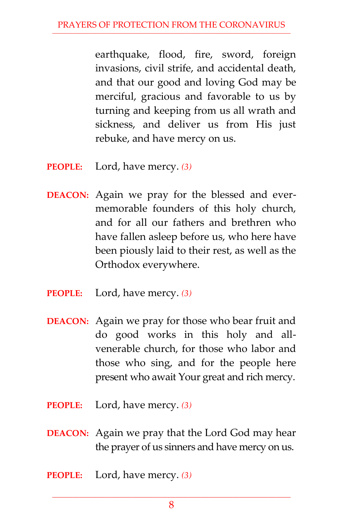earthquake, flood, fire, sword, foreign invasions, civil strife, and accidental death, and that our good and loving God may be merciful, gracious and favorable to us by turning and keeping from us all wrath and sickness, and deliver us from His just rebuke, and have mercy on us.

- **PEOPLE:** Lord, have mercy. *(3)*
- **DEACON:** Again we pray for the blessed and evermemorable founders of this holy church, and for all our fathers and brethren who have fallen asleep before us, who here have been piously laid to their rest, as well as the Orthodox everywhere.
- **PEOPLE:** Lord, have mercy. *(3)*
- **DEACON:** Again we pray for those who bear fruit and do good works in this holy and allvenerable church, for those who labor and those who sing, and for the people here present who await Your great and rich mercy.
- **PEOPLE:** Lord, have mercy. *(3)*
- **DEACON:** Again we pray that the Lord God may hear the prayer of us sinners and have mercy on us.
- **PEOPLE:** Lord, have mercy. *(3)*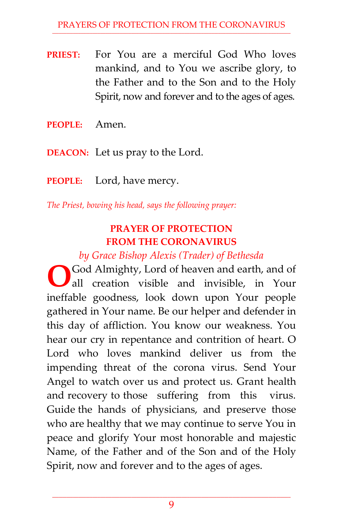- **PRIEST:** For You are a merciful God Who loves mankind, and to You we ascribe glory, to the Father and to the Son and to the Holy Spirit, now and forever and to the ages of ages.
- **PEOPLE:** Amen.
- **DEACON:** Let us pray to the Lord.
- **PEOPLE:** Lord, have mercy.

*The Priest, bowing his head, says the following prayer:*

#### **PRAYER OF PROTECTION FROM THE CORONAVIRUS**

*by Grace Bishop Alexis (Trader) of Bethesda* 

God Almighty, Lord of heaven and earth, and of all creation visible and invisible, in Your ineffable goodness, look down upon Your people gathered in Your name. Be our helper and defender in this day of affliction. You know our weakness. You hear our cry in repentance and contrition of heart. O Lord who loves mankind deliver us from the impending threat of the corona virus. Send Your Angel to watch over us and protect us. Grant health and recovery to those suffering from this virus. Guide the hands of physicians, and preserve those who are healthy that we may continue to serve You in peace and glorify Your most honorable and majestic Name, of the Father and of the Son and of the Holy Spirit, now and forever and to the ages of ages. **O**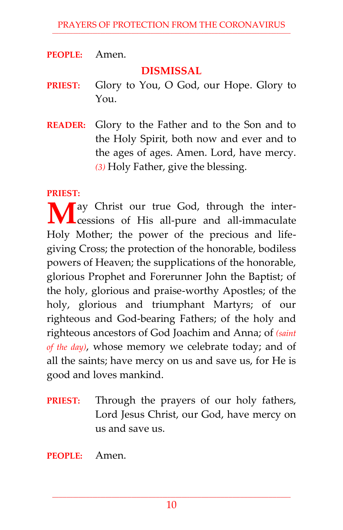**PEOPLE:** Amen.

#### **DISMISSAL**

- **PRIEST:** Glory to You, O God, our Hope. Glory to You.
- **READER:** Glory to the Father and to the Son and to the Holy Spirit, both now and ever and to the ages of ages. Amen. Lord, have mercy. *(3)* Holy Father, give the blessing.

#### **PRIEST:**

**M** ay Christ our true God, through the inter-<br>cessions of His all-pure and all-immaculate  $\sqrt{\frac{1}{\pi}}$ cessions of His all-pure and all-immaculate Holy Mother; the power of the precious and lifegiving Cross; the protection of the honorable, bodiless powers of Heaven; the supplications of the honorable, glorious Prophet and Forerunner John the Baptist; of the holy, glorious and praise-worthy Apostles; of the holy, glorious and triumphant Martyrs; of our righteous and God-bearing Fathers; of the holy and righteous ancestors of God Joachim and Anna; of *(saint of the day)*, whose memory we celebrate today; and of all the saints; have mercy on us and save us, for He is good and loves mankind.

**PRIEST:** Through the prayers of our holy fathers, Lord Jesus Christ, our God, have mercy on us and save us.

**PEOPLE:** Amen.